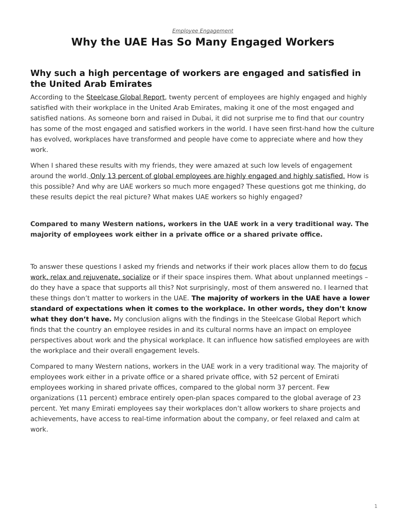## <span id="page-0-0"></span>*[Employee Engagement](https://www.steelcase.com/research/topics/employee-engagement/)* **Why the UAE Has So Many Engaged Workers**

## **Why such a high percentage of workers are engaged and satisfied in the United Arab Emirates**

According to the [Steelcase Global Report,](http://hubs.ly/H02c2Tn0) twenty percent of employees are highly engaged and highly satisfied with their workplace in the United Arab Emirates, making it one of the most engaged and satisfied nations. As someone born and raised in Dubai, it did not surprise me to find that our country has some of the most engaged and satisfied workers in the world. I have seen first-hand how the culture has evolved, workplaces have transformed and people have come to appreciate where and how they work.

When I shared these results with my friends, they were amazed at such low levels of engagement around the world. [Only 13 percent of global employees are highly engaged and highly satisfied.](https://www.steelcase.com/blog/why-employee-engagement-matters/) How is this possible? And why are UAE workers so much more engaged? These questions got me thinking, do these results depict the real picture? What makes UAE workers so highly engaged?

## **Compared to many Western nations, workers in the UAE work in a very traditional way. The majority of employees work either in a private office or a shared private office.**

To answer these questions I asked my friends and networks if their work places allow them to do [focus](https://www.steelcase.com/spaces-inspiration/resilient-workplace/) [work, relax and rejuvenate, socialize](https://www.steelcase.com/spaces-inspiration/resilient-workplace/) or if their space inspires them. What about unplanned meetings do they have a space that supports all this? Not surprisingly, most of them answered no. I learned that these things don't matter to workers in the UAE. **The majority of workers in the UAE have a lower standard of expectations when it comes to the workplace. In other words, they don't know what they don't have.** My conclusion aligns with the findings in the Steelcase Global Report which finds that the country an employee resides in and its cultural norms have an impact on employee perspectives about work and the physical workplace. It can influence how satisfied employees are with the workplace and their overall engagement levels.

Compared to many Western nations, workers in the UAE work in a very traditional way. The majority of employees work either in a private office or a shared private office, with 52 percent of Emirati employees working in shared private offices, compared to the global norm 37 percent. Few organizations (11 percent) embrace entirely open-plan spaces compared to the global average of 23 percent. Yet many Emirati employees say their workplaces don't allow workers to share projects and achievements, have access to real-time information about the company, or feel relaxed and calm at work.